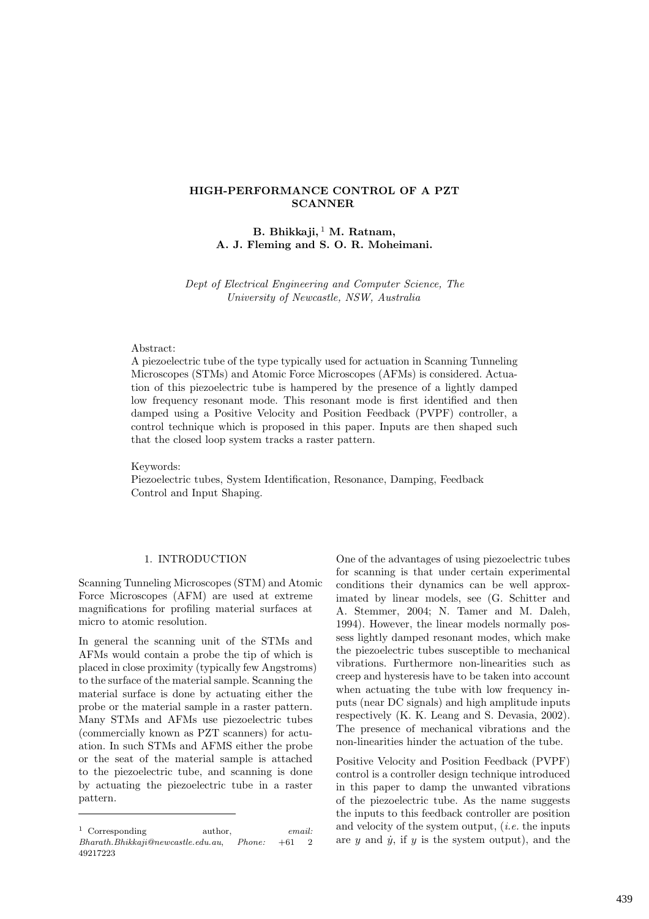## HIGH-PERFORMANCE CONTROL OF A PZT SCANNER

# B. Bhikkaji,  $1$  M. Ratnam, A. J. Fleming and S. O. R. Moheimani.

Dept of Electrical Engineering and Computer Science, The University of Newcastle, NSW, Australia

#### Abstract:

A piezoelectric tube of the type typically used for actuation in Scanning Tunneling Microscopes (STMs) and Atomic Force Microscopes (AFMs) is considered. Actuation of this piezoelectric tube is hampered by the presence of a lightly damped low frequency resonant mode. This resonant mode is first identified and then damped using a Positive Velocity and Position Feedback (PVPF) controller, a control technique which is proposed in this paper. Inputs are then shaped such that the closed loop system tracks a raster pattern.

Keywords: Piezoelectric tubes, System Identification, Resonance, Damping, Feedback Control and Input Shaping.

## 1. INTRODUCTION

Scanning Tunneling Microscopes (STM) and Atomic Force Microscopes (AFM) are used at extreme magnifications for profiling material surfaces at micro to atomic resolution.

In general the scanning unit of the STMs and AFMs would contain a probe the tip of which is placed in close proximity (typically few Angstroms) to the surface of the material sample. Scanning the material surface is done by actuating either the probe or the material sample in a raster pattern. Many STMs and AFMs use piezoelectric tubes (commercially known as PZT scanners) for actuation. In such STMs and AFMS either the probe or the seat of the material sample is attached to the piezoelectric tube, and scanning is done by actuating the piezoelectric tube in a raster pattern.

One of the advantages of using piezoelectric tubes for scanning is that under certain experimental conditions their dynamics can be well approximated by linear models, see (G. Schitter and A. Stemmer, 2004; N. Tamer and M. Daleh, 1994). However, the linear models normally possess lightly damped resonant modes, which make the piezoelectric tubes susceptible to mechanical vibrations. Furthermore non-linearities such as creep and hysteresis have to be taken into account when actuating the tube with low frequency inputs (near DC signals) and high amplitude inputs respectively (K. K. Leang and S. Devasia, 2002). The presence of mechanical vibrations and the non-linearities hinder the actuation of the tube.

Positive Velocity and Position Feedback (PVPF) control is a controller design technique introduced in this paper to damp the unwanted vibrations of the piezoelectric tube. As the name suggests the inputs to this feedback controller are position and velocity of the system output, (i.e. the inputs are  $y$  and  $\dot{y}$ , if  $y$  is the system output), and the

<sup>&</sup>lt;sup>1</sup> Corresponding author, email: Bharath.Bhikkaji@newcastle.edu.au, Phone: +61 2 49217223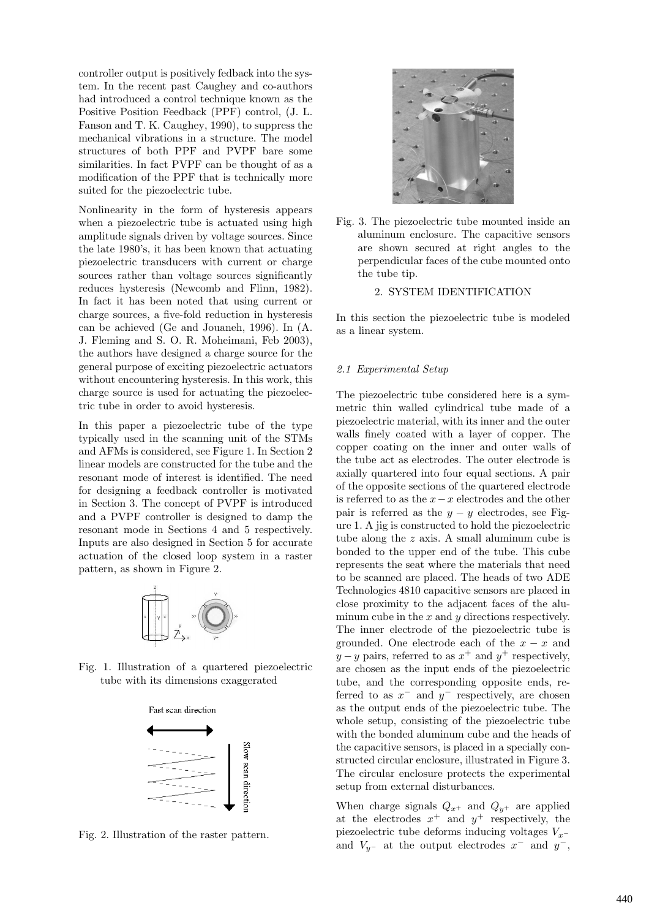controller output is positively fedback into the system. In the recent past Caughey and co-authors had introduced a control technique known as the Positive Position Feedback (PPF) control, (J. L. Fanson and T. K. Caughey, 1990), to suppress the mechanical vibrations in a structure. The model structures of both PPF and PVPF bare some similarities. In fact PVPF can be thought of as a modification of the PPF that is technically more suited for the piezoelectric tube.

Nonlinearity in the form of hysteresis appears when a piezoelectric tube is actuated using high amplitude signals driven by voltage sources. Since the late 1980's, it has been known that actuating piezoelectric transducers with current or charge sources rather than voltage sources significantly reduces hysteresis (Newcomb and Flinn, 1982). In fact it has been noted that using current or charge sources, a five-fold reduction in hysteresis can be achieved (Ge and Jouaneh, 1996). In (A. J. Fleming and S. O. R. Moheimani, Feb 2003), the authors have designed a charge source for the general purpose of exciting piezoelectric actuators without encountering hysteresis. In this work, this charge source is used for actuating the piezoelectric tube in order to avoid hysteresis.

In this paper a piezoelectric tube of the type typically used in the scanning unit of the STMs and AFMs is considered, see Figure 1. In Section 2 linear models are constructed for the tube and the resonant mode of interest is identified. The need for designing a feedback controller is motivated in Section 3. The concept of PVPF is introduced and a PVPF controller is designed to damp the resonant mode in Sections 4 and 5 respectively. Inputs are also designed in Section 5 for accurate actuation of the closed loop system in a raster pattern, as shown in Figure 2.



Fig. 1. Illustration of a quartered piezoelectric tube with its dimensions exaggerated



Fig. 2. Illustration of the raster pattern.



Fig. 3. The piezoelectric tube mounted inside an aluminum enclosure. The capacitive sensors are shown secured at right angles to the perpendicular faces of the cube mounted onto the tube tip.

## 2. SYSTEM IDENTIFICATION

In this section the piezoelectric tube is modeled as a linear system.

#### 2.1 Experimental Setup

The piezoelectric tube considered here is a symmetric thin walled cylindrical tube made of a piezoelectric material, with its inner and the outer walls finely coated with a layer of copper. The copper coating on the inner and outer walls of the tube act as electrodes. The outer electrode is axially quartered into four equal sections. A pair of the opposite sections of the quartered electrode is referred to as the  $x-x$  electrodes and the other pair is referred as the  $y - y$  electrodes, see Figure 1. A jig is constructed to hold the piezoelectric tube along the z axis. A small aluminum cube is bonded to the upper end of the tube. This cube represents the seat where the materials that need to be scanned are placed. The heads of two ADE Technologies 4810 capacitive sensors are placed in close proximity to the adjacent faces of the aluminum cube in the  $x$  and  $y$  directions respectively. The inner electrode of the piezoelectric tube is grounded. One electrode each of the  $x - x$  and  $y - y$  pairs, referred to as  $x^{+}$  and  $y^{+}$  respectively, are chosen as the input ends of the piezoelectric tube, and the corresponding opposite ends, referred to as  $x^-$  and  $y^-$  respectively, are chosen as the output ends of the piezoelectric tube. The whole setup, consisting of the piezoelectric tube with the bonded aluminum cube and the heads of the capacitive sensors, is placed in a specially constructed circular enclosure, illustrated in Figure 3. The circular enclosure protects the experimental setup from external disturbances.

When charge signals  $Q_{x^+}$  and  $Q_{y^+}$  are applied at the electrodes  $x^+$  and  $y^+$  respectively, the piezoelectric tube deforms inducing voltages  $V_{x-}$ and  $V_{y-}$  at the output electrodes  $x^-$  and  $y^-$ ,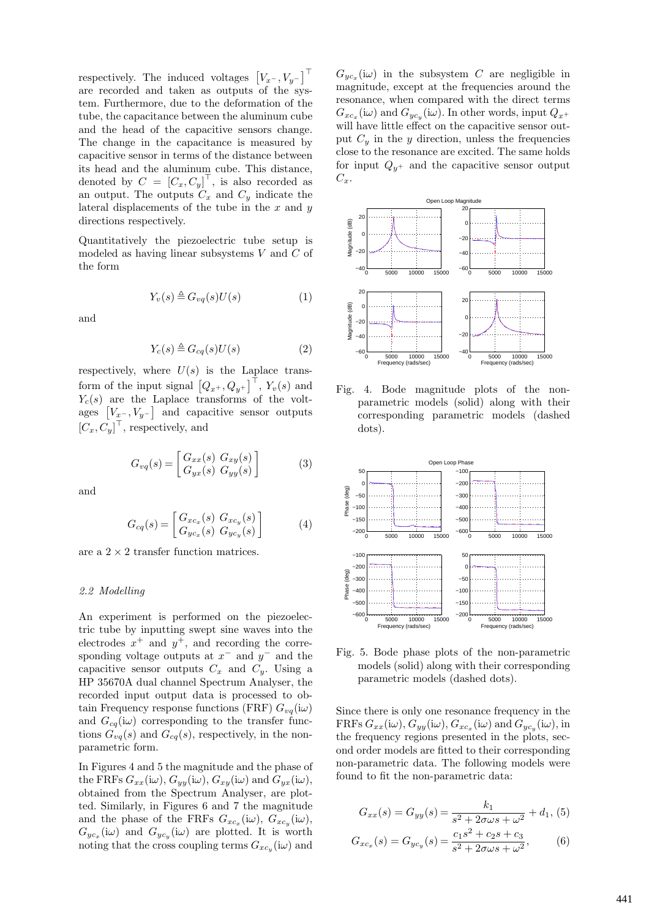respectively. The induced voltages  $[V_x-, V_y-]^{\top}$ are recorded and taken as outputs of the system. Furthermore, due to the deformation of the tube, the capacitance between the aluminum cube and the head of the capacitive sensors change. The change in the capacitance is measured by capacitive sensor in terms of the distance between its head and the aluminum cube. This distance, denoted by  $C = [C_x, C_y]^\top$ , is also recorded as an output. The outputs  $C_x$  and  $C_y$  indicate the lateral displacements of the tube in the  $x$  and  $y$ directions respectively.

Quantitatively the piezoelectric tube setup is modeled as having linear subsystems  $V$  and  $C$  of the form

$$
Y_v(s) \triangleq G_{vq}(s)U(s) \tag{1}
$$

and

$$
Y_c(s) \triangleq G_{cq}(s)U(s) \tag{2}
$$

respectively, where  $U(s)$  is the Laplace transform of the input signal  $\left[Q_{x^+}, Q_{y^+}\right]^\top$ ,  $Y_v(s)$  and  $Y_c(s)$  are the Laplace transforms of the voltages  $[V_{x-}, V_{y-}]$  and capacitive sensor outputs  $[C_x, C_y]^\top$ , respectively, and

$$
G_{vq}(s) = \begin{bmatrix} G_{xx}(s) & G_{xy}(s) \\ G_{yx}(s) & G_{yy}(s) \end{bmatrix} \tag{3}
$$

and

$$
G_{cq}(s) = \begin{bmatrix} G_{xc_x}(s) & G_{xc_y}(s) \\ G_{yc_x}(s) & G_{yc_y}(s) \end{bmatrix}
$$
 (4)

are a  $2 \times 2$  transfer function matrices.

### 2.2 Modelling

An experiment is performed on the piezoelectric tube by inputting swept sine waves into the electrodes  $x^+$  and  $y^+$ , and recording the corresponding voltage outputs at  $x^-$  and  $y^-$  and the capacitive sensor outputs  $C_x$  and  $C_y$ . Using a HP 35670A dual channel Spectrum Analyser, the recorded input output data is processed to obtain Frequency response functions (FRF)  $G_{vq}(\mathrm{i}\omega)$ and  $G_{cq}(\mathrm{i}\omega)$  corresponding to the transfer functions  $G_{vq}(s)$  and  $G_{cq}(s)$ , respectively, in the nonparametric form.

In Figures 4 and 5 the magnitude and the phase of the FRFs  $G_{xx}(i\omega)$ ,  $G_{yy}(i\omega)$ ,  $G_{xy}(i\omega)$  and  $G_{yx}(i\omega)$ , obtained from the Spectrum Analyser, are plotted. Similarly, in Figures 6 and 7 the magnitude and the phase of the FRFs  $G_{xc_x}(\mathrm{i}\omega)$ ,  $G_{xc_y}(\mathrm{i}\omega)$ ,  $G_{yc_x}(\mathrm{i}\omega)$  and  $G_{yc_y}(\mathrm{i}\omega)$  are plotted. It is worth noting that the cross coupling terms  $G_{xc_y}(\mathrm{i}\omega)$  and

 $G_{yc_x}(\omega)$  in the subsystem C are negligible in magnitude, except at the frequencies around the resonance, when compared with the direct terms  $G_{xc_x}(\mathrm{i}\omega)$  and  $G_{yc_y}(\mathrm{i}\omega)$ . In other words, input  $Q_{x^+}$ will have little effect on the capacitive sensor output  $C_y$  in the y direction, unless the frequencies close to the resonance are excited. The same holds for input  $Q_{y+}$  and the capacitive sensor output  $C_x$ .



Fig. 4. Bode magnitude plots of the nonparametric models (solid) along with their corresponding parametric models (dashed dots).



Fig. 5. Bode phase plots of the non-parametric models (solid) along with their corresponding parametric models (dashed dots).

Since there is only one resonance frequency in the FRFs  $G_{xx}(\mathrm{i}\omega)$ ,  $G_{yy}(\mathrm{i}\omega)$ ,  $G_{xc_x}(\mathrm{i}\omega)$  and  $G_{yc_y}(\mathrm{i}\omega)$ , in the frequency regions presented in the plots, second order models are fitted to their corresponding non-parametric data. The following models were found to fit the non-parametric data:

$$
G_{xx}(s) = G_{yy}(s) = \frac{k_1}{s^2 + 2\sigma\omega s + \omega^2} + d_1,
$$
 (5)

$$
G_{xc_x}(s) = G_{yc_y}(s) = \frac{c_1 s^2 + c_2 s + c_3}{s^2 + 2\sigma\omega s + \omega^2},
$$
(6)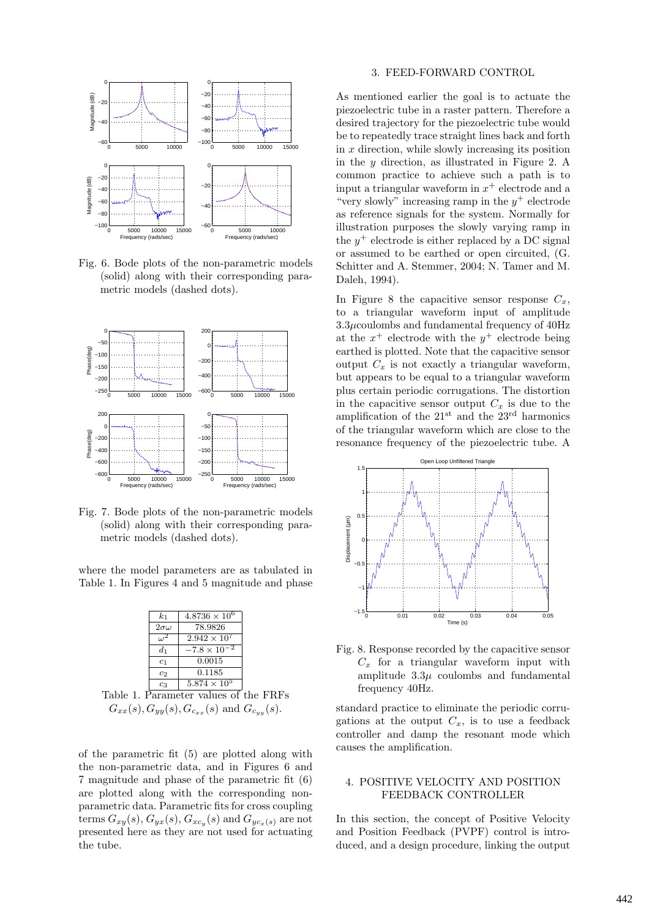

Fig. 6. Bode plots of the non-parametric models (solid) along with their corresponding parametric models (dashed dots).



Fig. 7. Bode plots of the non-parametric models (solid) along with their corresponding parametric models (dashed dots).

where the model parameters are as tabulated in Table 1. In Figures 4 and 5 magnitude and phase

|                                                                   | $k_{1}$         | $4.8736 \times 10^6$  |  |
|-------------------------------------------------------------------|-----------------|-----------------------|--|
|                                                                   | $2\sigma\omega$ | 78.9826               |  |
|                                                                   | $\omega^2$      | $2.942 \times 10^{7}$ |  |
|                                                                   | $d_1$           | $-7.8 \times 10^{-2}$ |  |
|                                                                   | c <sub>1</sub>  | 0.0015                |  |
|                                                                   | c <sub>2</sub>  | 0.1185                |  |
|                                                                   | $c_3$           | $5.874 \times 10^5$   |  |
| Table 1. Parameter values of the FRFs                             |                 |                       |  |
| $G_{xx}(s)$ , $G_{yy}(s)$ , $G_{c_{xx}}(s)$ and $G_{c_{yy}}(s)$ . |                 |                       |  |

of the parametric fit (5) are plotted along with the non-parametric data, and in Figures 6 and 7 magnitude and phase of the parametric fit (6) are plotted along with the corresponding nonparametric data. Parametric fits for cross coupling terms  $G_{xy}(s)$ ,  $G_{yx}(s)$ ,  $G_{xc_y}(s)$  and  $G_{yc_x(s)}$  are not presented here as they are not used for actuating the tube.

### 3. FEED-FORWARD CONTROL

As mentioned earlier the goal is to actuate the piezoelectric tube in a raster pattern. Therefore a desired trajectory for the piezoelectric tube would be to repeatedly trace straight lines back and forth in  $x$  direction, while slowly increasing its position in the  $y$  direction, as illustrated in Figure 2. A common practice to achieve such a path is to input a triangular waveform in  $x^+$  electrode and a "very slowly" increasing ramp in the  $y^+$  electrode as reference signals for the system. Normally for illustration purposes the slowly varying ramp in the  $y^+$  electrode is either replaced by a DC signal or assumed to be earthed or open circuited, (G. Schitter and A. Stemmer, 2004; N. Tamer and M. Daleh, 1994).

In Figure 8 the capacitive sensor response  $C_x$ , to a triangular waveform input of amplitude  $3.3\mu$ coulombs and fundamental frequency of  $40\text{Hz}$ at the  $x^+$  electrode with the  $y^+$  electrode being earthed is plotted. Note that the capacitive sensor output  $C_x$  is not exactly a triangular waveform, but appears to be equal to a triangular waveform plus certain periodic corrugations. The distortion in the capacitive sensor output  $C<sub>x</sub>$  is due to the amplification of the  $21<sup>st</sup>$  and the  $23<sup>rd</sup>$  harmonics of the triangular waveform which are close to the resonance frequency of the piezoelectric tube. A



Fig. 8. Response recorded by the capacitive sensor  $C_x$  for a triangular waveform input with amplitude  $3.3\mu$  coulombs and fundamental frequency 40Hz.

standard practice to eliminate the periodic corrugations at the output  $C_x$ , is to use a feedback controller and damp the resonant mode which causes the amplification.

### 4. POSITIVE VELOCITY AND POSITION FEEDBACK CONTROLLER

In this section, the concept of Positive Velocity and Position Feedback (PVPF) control is introduced, and a design procedure, linking the output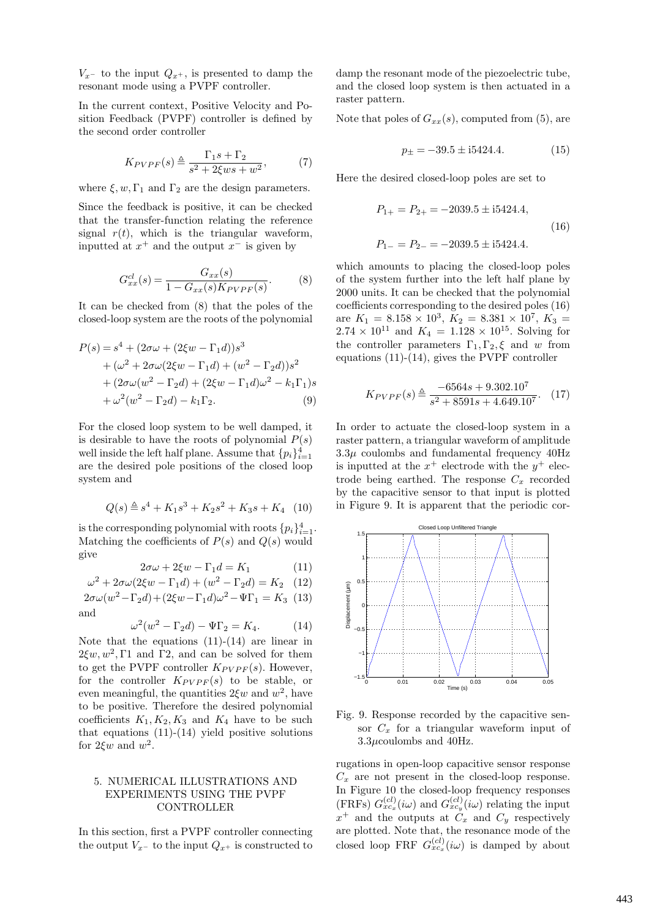$V_{x-}$  to the input  $Q_{x+}$ , is presented to damp the resonant mode using a PVPF controller.

In the current context, Positive Velocity and Position Feedback (PVPF) controller is defined by the second order controller

$$
K_{PVPF}(s) \triangleq \frac{\Gamma_1 s + \Gamma_2}{s^2 + 2\xi ws + w^2},\tag{7}
$$

where  $\xi, w, \Gamma_1$  and  $\Gamma_2$  are the design parameters.

Since the feedback is positive, it can be checked that the transfer-function relating the reference signal  $r(t)$ , which is the triangular waveform, inputted at  $x^+$  and the output  $x^-$  is given by

$$
G_{xx}^{cl}(s) = \frac{G_{xx}(s)}{1 - G_{xx}(s)K_{PVPF}(s)}.
$$
 (8)

It can be checked from (8) that the poles of the closed-loop system are the roots of the polynomial

$$
P(s) = s4 + (2\sigma\omega + (2\xi\omega - \Gamma_1 d))s3
$$
  
+ (\omega<sup>2</sup> + 2\sigma\omega(2\xi\omega - \Gamma\_1 d) + (w<sup>2</sup> - \Gamma\_2 d))s<sup>2</sup>  
+ (2\sigma\omega(w<sup>2</sup> - \Gamma\_2 d) + (2\xi\omega - \Gamma\_1 d)\omega<sup>2</sup> - k<sub>1</sub>\Gamma\_1)s  
+ \omega<sup>2</sup>(w<sup>2</sup> - \Gamma\_2 d) - k<sub>1</sub>\Gamma\_2. (9)

For the closed loop system to be well damped, it is desirable to have the roots of polynomial  $P(s)$ well inside the left half plane. Assume that  ${p_i}_{i=1}^4$ are the desired pole positions of the closed loop system and

$$
Q(s) \triangleq s^4 + K_1 s^3 + K_2 s^2 + K_3 s + K_4
$$
 (10)

is the corresponding polynomial with roots  $\{p_i\}_{i=1}^4$ . Matching the coefficients of  $P(s)$  and  $Q(s)$  would give

$$
2\sigma\omega + 2\xi w - \Gamma_1 d = K_1 \tag{11}
$$

$$
\omega^2 + 2\sigma\omega(2\xi w - \Gamma_1 d) + (w^2 - \Gamma_2 d) = K_2
$$
 (12)

$$
2\sigma\omega(w^2 - \Gamma_2 d) + (2\xi w - \Gamma_1 d)\omega^2 - \Psi\Gamma_1 = K_3
$$
 (13) and

$$
\omega^2(w^2 - \Gamma_2 d) - \Psi \Gamma_2 = K_4. \tag{14}
$$

Note that the equations  $(11)-(14)$  are linear in  $2\xi w, w^2, \Gamma 1$  and  $\Gamma 2$ , and can be solved for them to get the PVPF controller  $K_{PVPF}(s)$ . However, for the controller  $K_{PVPF}(s)$  to be stable, or even meaningful, the quantities  $2\xi w$  and  $w^2$ , have to be positive. Therefore the desired polynomial coefficients  $K_1, K_2, K_3$  and  $K_4$  have to be such that equations  $(11)-(14)$  yield positive solutions for  $2\xi w$  and  $w^2$ .

## 5. NUMERICAL ILLUSTRATIONS AND EXPERIMENTS USING THE PVPF CONTROLLER

In this section, first a PVPF controller connecting the output  $V_{x-}$  to the input  $Q_{x+}$  is constructed to damp the resonant mode of the piezoelectric tube, and the closed loop system is then actuated in a raster pattern.

Note that poles of  $G_{xx}(s)$ , computed from (5), are

$$
p_{\pm} = -39.5 \pm 5424.4. \tag{15}
$$

Here the desired closed-loop poles are set to

$$
P_{1+} = P_{2+} = -2039.5 \pm 15424.4,
$$
  
(16)  

$$
P_{1-} = P_{2-} = -2039.5 \pm 15424.4.
$$

which amounts to placing the closed-loop poles of the system further into the left half plane by 2000 units. It can be checked that the polynomial coefficients corresponding to the desired poles (16) are  $K_1 = 8.158 \times 10^3$ ,  $K_2 = 8.381 \times 10^7$ ,  $K_3 =$  $2.74 \times 10^{11}$  and  $K_4 = 1.128 \times 10^{15}$ . Solving for the controller parameters  $\Gamma_1, \Gamma_2, \xi$  and w from equations (11)-(14), gives the PVPF controller

$$
K_{PVPF}(s) \triangleq \frac{-6564s + 9.302.10^7}{s^2 + 8591s + 4.649.10^7}.
$$
 (17)

In order to actuate the closed-loop system in a raster pattern, a triangular waveform of amplitude  $3.3\mu$  coulombs and fundamental frequency  $40Hz$ is inputted at the  $x^+$  electrode with the  $y^+$  electrode being earthed. The response  $C_x$  recorded by the capacitive sensor to that input is plotted in Figure 9. It is apparent that the periodic cor-



Fig. 9. Response recorded by the capacitive sensor  $C_x$  for a triangular waveform input of 3.3µcoulombs and 40Hz.

rugations in open-loop capacitive sensor response  $C_x$  are not present in the closed-loop response. In Figure 10 the closed-loop frequency responses (FRFs)  $G_{xc_x}^{(cl)}(i\omega)$  and  $G_{xc_y}^{(cl)}(i\omega)$  relating the input  $x^+$  and the outputs at  $C_x$  and  $C_y$  respectively are plotted. Note that, the resonance mode of the closed loop FRF  $G_{xc_x}^{(cl)}(i\omega)$  is damped by about